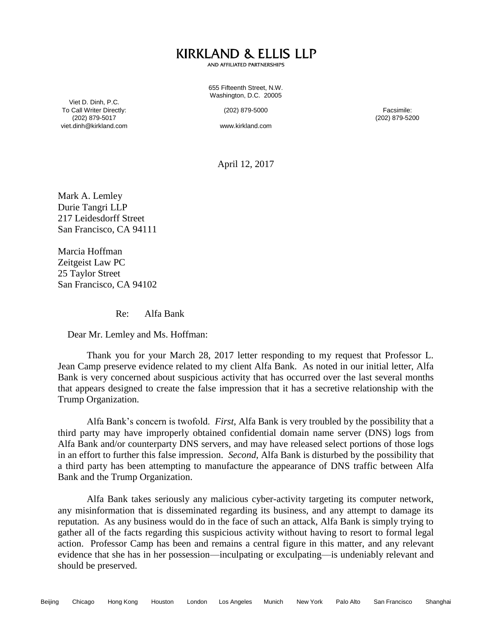## **KIRKLAND & ELLIS LLP**

AND AFFILIATED PARTNERSHIPS

655 Fifteenth Street, N.W. Washington, D.C. 20005

Viet D. Dinh, P.C. To Call Writer Directly: (202) 879-5017 viet.dinh@kirkland.com

(202) 879-5000

www.kirkland.com

Facsimile: (202) 879-5200

April 12, 2017

Mark A. Lemley Durie Tangri LLP 217 Leidesdorff Street San Francisco, CA 94111

Marcia Hoffman Zeitgeist Law PC 25 Taylor Street San Francisco, CA 94102

Re: Alfa Bank

Dear Mr. Lemley and Ms. Hoffman:

Thank you for your March 28, 2017 letter responding to my request that Professor L. Jean Camp preserve evidence related to my client Alfa Bank. As noted in our initial letter, Alfa Bank is very concerned about suspicious activity that has occurred over the last several months that appears designed to create the false impression that it has a secretive relationship with the Trump Organization.

Alfa Bank's concern is twofold. *First*, Alfa Bank is very troubled by the possibility that a third party may have improperly obtained confidential domain name server (DNS) logs from Alfa Bank and/or counterparty DNS servers, and may have released select portions of those logs in an effort to further this false impression. *Second*, Alfa Bank is disturbed by the possibility that a third party has been attempting to manufacture the appearance of DNS traffic between Alfa Bank and the Trump Organization.

Alfa Bank takes seriously any malicious cyber-activity targeting its computer network, any misinformation that is disseminated regarding its business, and any attempt to damage its reputation. As any business would do in the face of such an attack, Alfa Bank is simply trying to gather all of the facts regarding this suspicious activity without having to resort to formal legal action. Professor Camp has been and remains a central figure in this matter, and any relevant evidence that she has in her possession—inculpating or exculpating—is undeniably relevant and should be preserved.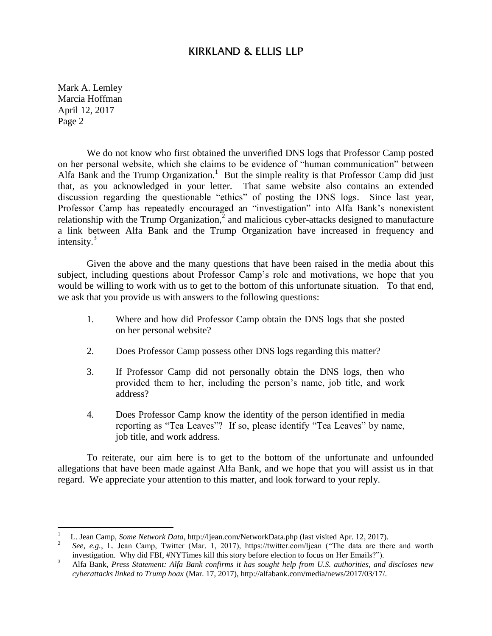## KIRKLAND & ELLIS LLP

Mark A. Lemley Marcia Hoffman April 12, 2017 Page 2

 $\overline{a}$ 

We do not know who first obtained the unverified DNS logs that Professor Camp posted on her personal website, which she claims to be evidence of "human communication" between Alfa Bank and the Trump Organization.<sup>1</sup> But the simple reality is that Professor Camp did just that, as you acknowledged in your letter. That same website also contains an extended discussion regarding the questionable "ethics" of posting the DNS logs. Since last year, Professor Camp has repeatedly encouraged an "investigation" into Alfa Bank's nonexistent relationship with the Trump Organization, $\frac{3}{2}$  and malicious cyber-attacks designed to manufacture a link between Alfa Bank and the Trump Organization have increased in frequency and intensity. $3$ 

Given the above and the many questions that have been raised in the media about this subject, including questions about Professor Camp's role and motivations, we hope that you would be willing to work with us to get to the bottom of this unfortunate situation. To that end, we ask that you provide us with answers to the following questions:

- 1. Where and how did Professor Camp obtain the DNS logs that she posted on her personal website?
- 2. Does Professor Camp possess other DNS logs regarding this matter?
- 3. If Professor Camp did not personally obtain the DNS logs, then who provided them to her, including the person's name, job title, and work address?
- 4. Does Professor Camp know the identity of the person identified in media reporting as "Tea Leaves"? If so, please identify "Tea Leaves" by name, job title, and work address.

To reiterate, our aim here is to get to the bottom of the unfortunate and unfounded allegations that have been made against Alfa Bank, and we hope that you will assist us in that regard. We appreciate your attention to this matter, and look forward to your reply.

<sup>1</sup> L. Jean Camp, *Some Network Data*, http://ljean.com/NetworkData.php (last visited Apr. 12, 2017).

<sup>2</sup> *See, e.g.*, L. Jean Camp, Twitter (Mar. 1, 2017), https://twitter.com/ljean ("The data are there and worth investigation. Why did FBI, #NYTimes kill this story before election to focus on Her Emails?").

<sup>3</sup> Alfa Bank, *Press Statement: Alfa Bank confirms it has sought help from U.S. authorities, and discloses new cyberattacks linked to Trump hoax* (Mar. 17, 2017), http://alfabank.com/media/news/2017/03/17/.